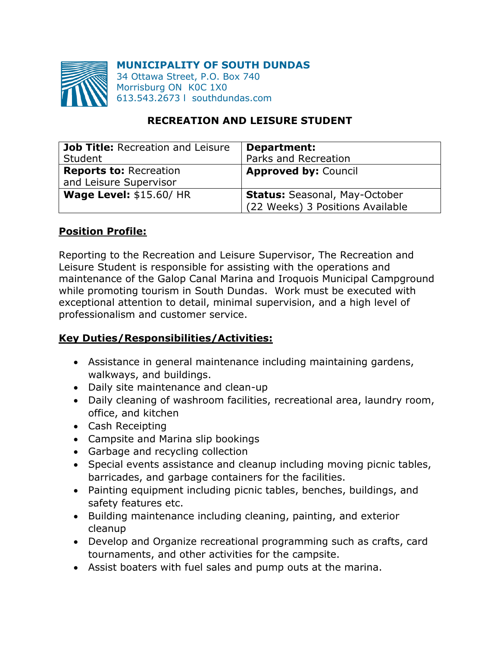

**MUNICIPALITY OF SOUTH DUNDAS**

34 Ottawa Street, P.O. Box 740 Morrisburg ON K0C 1X0 613.543.2673 l southdundas.com

### **RECREATION AND LEISURE STUDENT**

| Job Title: Recreation and Leisure                       | Department:                                                              |
|---------------------------------------------------------|--------------------------------------------------------------------------|
| Student                                                 | Parks and Recreation                                                     |
| <b>Reports to: Recreation</b><br>and Leisure Supervisor | <b>Approved by: Council</b>                                              |
| <b>Wage Level: \$15.60/ HR</b>                          | <b>Status: Seasonal, May-October</b><br>(22 Weeks) 3 Positions Available |

#### **Position Profile:**

Reporting to the Recreation and Leisure Supervisor, The Recreation and Leisure Student is responsible for assisting with the operations and maintenance of the Galop Canal Marina and Iroquois Municipal Campground while promoting tourism in South Dundas. Work must be executed with exceptional attention to detail, minimal supervision, and a high level of professionalism and customer service.

### **Key Duties/Responsibilities/Activities:**

- Assistance in general maintenance including maintaining gardens, walkways, and buildings.
- Daily site maintenance and clean-up
- Daily cleaning of washroom facilities, recreational area, laundry room, office, and kitchen
- Cash Receipting
- Campsite and Marina slip bookings
- Garbage and recycling collection
- Special events assistance and cleanup including moving picnic tables, barricades, and garbage containers for the facilities.
- Painting equipment including picnic tables, benches, buildings, and safety features etc.
- Building maintenance including cleaning, painting, and exterior cleanup
- Develop and Organize recreational programming such as crafts, card tournaments, and other activities for the campsite.
- Assist boaters with fuel sales and pump outs at the marina.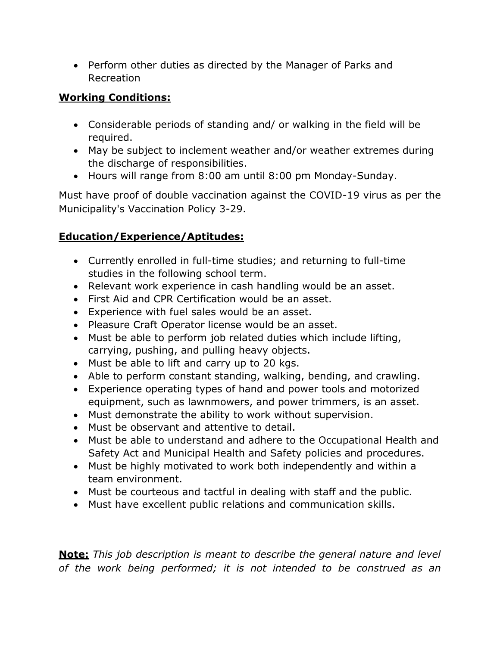• Perform other duties as directed by the Manager of Parks and Recreation

## **Working Conditions:**

- Considerable periods of standing and/ or walking in the field will be required.
- May be subject to inclement weather and/or weather extremes during the discharge of responsibilities.
- Hours will range from 8:00 am until 8:00 pm Monday-Sunday.

Must have proof of double vaccination against the COVID-19 virus as per the Municipality's Vaccination Policy 3-29.

# **Education/Experience/Aptitudes:**

- Currently enrolled in full-time studies; and returning to full-time studies in the following school term.
- Relevant work experience in cash handling would be an asset.
- First Aid and CPR Certification would be an asset.
- Experience with fuel sales would be an asset.
- Pleasure Craft Operator license would be an asset.
- Must be able to perform job related duties which include lifting, carrying, pushing, and pulling heavy objects.
- Must be able to lift and carry up to 20 kgs.
- Able to perform constant standing, walking, bending, and crawling.
- Experience operating types of hand and power tools and motorized equipment, such as lawnmowers, and power trimmers, is an asset.
- Must demonstrate the ability to work without supervision.
- Must be observant and attentive to detail.
- Must be able to understand and adhere to the Occupational Health and Safety Act and Municipal Health and Safety policies and procedures.
- Must be highly motivated to work both independently and within a team environment.
- Must be courteous and tactful in dealing with staff and the public.
- Must have excellent public relations and communication skills.

**Note:** *This job description is meant to describe the general nature and level of the work being performed; it is not intended to be construed as an*